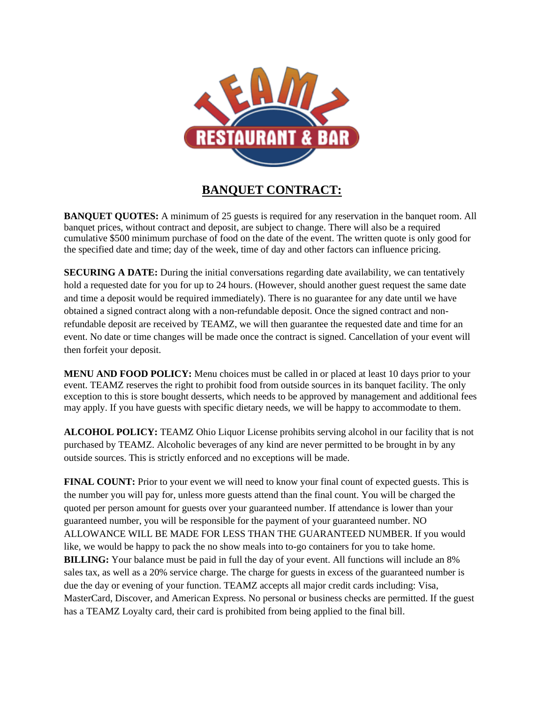

## **BANQUET CONTRACT:**

**BANQUET QUOTES:** A minimum of 25 guests is required for any reservation in the banquet room. All banquet prices, without contract and deposit, are subject to change. There will also be a required cumulative \$500 minimum purchase of food on the date of the event. The written quote is only good for the specified date and time; day of the week, time of day and other factors can influence pricing.

**SECURING A DATE:** During the initial conversations regarding date availability, we can tentatively hold a requested date for you for up to 24 hours. (However, should another guest request the same date and time a deposit would be required immediately). There is no guarantee for any date until we have obtained a signed contract along with a non-refundable deposit. Once the signed contract and nonrefundable deposit are received by TEAMZ, we will then guarantee the requested date and time for an event. No date or time changes will be made once the contract is signed. Cancellation of your event will then forfeit your deposit.

**MENU AND FOOD POLICY:** Menu choices must be called in or placed at least 10 days prior to your event. TEAMZ reserves the right to prohibit food from outside sources in its banquet facility. The only exception to this is store bought desserts, which needs to be approved by management and additional fees may apply. If you have guests with specific dietary needs, we will be happy to accommodate to them.

**ALCOHOL POLICY:** TEAMZ Ohio Liquor License prohibits serving alcohol in our facility that is not purchased by TEAMZ. Alcoholic beverages of any kind are never permitted to be brought in by any outside sources. This is strictly enforced and no exceptions will be made.

**FINAL COUNT:** Prior to your event we will need to know your final count of expected guests. This is the number you will pay for, unless more guests attend than the final count. You will be charged the quoted per person amount for guests over your guaranteed number. If attendance is lower than your guaranteed number, you will be responsible for the payment of your guaranteed number. NO ALLOWANCE WILL BE MADE FOR LESS THAN THE GUARANTEED NUMBER. If you would like, we would be happy to pack the no show meals into to-go containers for you to take home. **BILLING:** Your balance must be paid in full the day of your event. All functions will include an 8% sales tax, as well as a 20% service charge. The charge for guests in excess of the guaranteed number is due the day or evening of your function. TEAMZ accepts all major credit cards including: Visa, MasterCard, Discover, and American Express. No personal or business checks are permitted. If the guest has a TEAMZ Loyalty card, their card is prohibited from being applied to the final bill.